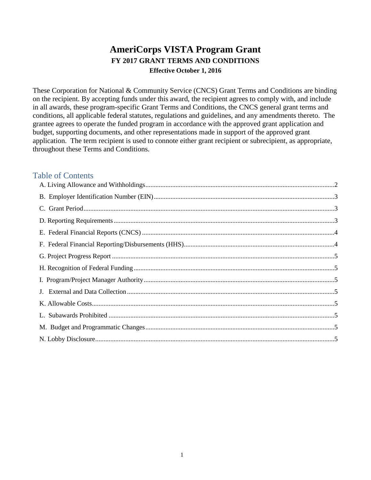# **AmeriCorps VISTA Program Grant FY 2017 GRANT TERMS AND CONDITIONS Effective October 1, 2016**

These Corporation for National & Community Service (CNCS) Grant Terms and Conditions are binding on the recipient. By accepting funds under this award, the recipient agrees to comply with, and include in all awards, these program-specific Grant Terms and Conditions, the CNCS general grant terms and conditions, all applicable federal statutes, regulations and guidelines, and any amendments thereto. The grantee agrees to operate the funded program in accordance with the approved grant application and budget, supporting documents, and other representations made in support of the approved grant application. The term recipient is used to connote either grant recipient or subrecipient, as appropriate, throughout these Terms and Conditions.

# Table of Contents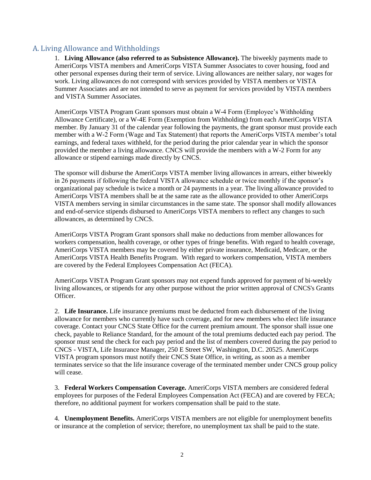#### <span id="page-1-0"></span>A. Living Allowance and Withholdings

1. **Living Allowance (also referred to as Subsistence Allowance).** The biweekly payments made to AmeriCorps VISTA members and AmeriCorps VISTA Summer Associates to cover housing, food and other personal expenses during their term of service. Living allowances are neither salary, nor wages for work. Living allowances do not correspond with services provided by VISTA members or VISTA Summer Associates and are not intended to serve as payment for services provided by VISTA members and VISTA Summer Associates.

AmeriCorps VISTA Program Grant sponsors must obtain a W-4 Form (Employee's Withholding Allowance Certificate), or a W-4E Form (Exemption from Withholding) from each AmeriCorps VISTA member. By January 31 of the calendar year following the payments, the grant sponsor must provide each member with a W-2 Form (Wage and Tax Statement) that reports the AmeriCorps VISTA member's total earnings, and federal taxes withheld, for the period during the prior calendar year in which the sponsor provided the member a living allowance. CNCS will provide the members with a W-2 Form for any allowance or stipend earnings made directly by CNCS.

The sponsor will disburse the AmeriCorps VISTA member living allowances in arrears, either biweekly in 26 payments if following the federal VISTA allowance schedule or twice monthly if the sponsor's organizational pay schedule is twice a month or 24 payments in a year. The living allowance provided to AmeriCorps VISTA members shall be at the same rate as the allowance provided to other AmeriCorps VISTA members serving in similar circumstances in the same state. The sponsor shall modify allowances and end-of-service stipends disbursed to AmeriCorps VISTA members to reflect any changes to such allowances, as determined by CNCS.

AmeriCorps VISTA Program Grant sponsors shall make no deductions from member allowances for workers compensation, health coverage, or other types of fringe benefits. With regard to health coverage, AmeriCorps VISTA members may be covered by either private insurance, Medicaid, Medicare, or the AmeriCorps VISTA Health Benefits Program. With regard to workers compensation, VISTA members are covered by the Federal Employees Compensation Act (FECA).

AmeriCorps VISTA Program Grant sponsors may not expend funds approved for payment of bi-weekly living allowances, or stipends for any other purpose without the prior written approval of CNCS's Grants Officer.

2. **Life Insurance.** Life insurance premiums must be deducted from each disbursement of the living allowance for members who currently have such coverage, and for new members who elect life insurance coverage. Contact your CNCS State Office for the current premium amount. The sponsor shall issue one check, payable to Reliance Standard, for the amount of the total premiums deducted each pay period. The sponsor must send the check for each pay period and the list of members covered during the pay period to CNCS - VISTA, Life Insurance Manager, 250 E Street SW, Washington, D.C. 20525. AmeriCorps VISTA program sponsors must notify their CNCS State Office, in writing, as soon as a member terminates service so that the life insurance coverage of the terminated member under CNCS group policy will cease.

3. **Federal Workers Compensation Coverage.** AmeriCorps VISTA members are considered federal employees for purposes of the Federal Employees Compensation Act (FECA) and are covered by FECA; therefore, no additional payment for workers compensation shall be paid to the state.

4. **Unemployment Benefits.** AmeriCorps VISTA members are not eligible for unemployment benefits or insurance at the completion of service; therefore, no unemployment tax shall be paid to the state.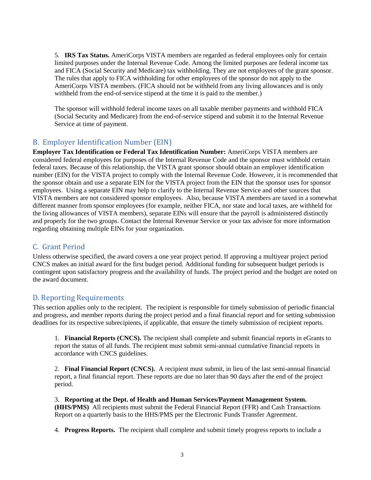5. **IRS Tax Status.** AmeriCorps VISTA members are regarded as federal employees only for certain limited purposes under the Internal Revenue Code. Among the limited purposes are federal income tax and FICA (Social Security and Medicare) tax withholding. They are not employees of the grant sponsor. The rules that apply to FICA withholding for other employees of the sponsor do not apply to the AmeriCorps VISTA members. (FICA should not be withheld from any living allowances and is only withheld from the end-of-service stipend at the time it is paid to the member.)

The sponsor will withhold federal income taxes on all taxable member payments and withhold FICA (Social Security and Medicare) from the end-of-service stipend and submit it to the Internal Revenue Service at time of payment.

# <span id="page-2-0"></span>B. Employer Identification Number (EIN)

**Employer Tax Identification or Federal Tax Identification Number:** AmeriCorps VISTA members are considered federal employees for purposes of the Internal Revenue Code and the sponsor must withhold certain federal taxes. Because of this relationship, the VISTA grant sponsor should obtain an employer identification number (EIN) for the VISTA project to comply with the Internal Revenue Code. However, it is recommended that the sponsor obtain and use a separate EIN for the VISTA project from the EIN that the sponsor uses for sponsor employees. Using a separate EIN may help to clarify to the Internal Revenue Service and other sources that VISTA members are not considered sponsor employees. Also, because VISTA members are taxed in a somewhat different manner from sponsor employees (for example, neither FICA, nor state and local taxes, are withheld for the living allowances of VISTA members), separate EINs will ensure that the payroll is administered distinctly and properly for the two groups. Contact the Internal Revenue Service or your tax advisor for more information regarding obtaining multiple EINs for your organization.

# <span id="page-2-1"></span>C. Grant Period

Unless otherwise specified, the award covers a one year project period. If approving a multiyear project period CNCS makes an initial award for the first budget period. Additional funding for subsequent budget periods is contingent upon satisfactory progress and the availability of funds. The project period and the budget are noted on the award document.

#### <span id="page-2-2"></span>D. Reporting Requirements

This section applies only to the recipient. The recipient is responsible for timely submission of periodic financial and progress, and member reports during the project period and a final financial report and for setting submission deadlines for its respective subrecipients, if applicable, that ensure the timely submission of recipient reports.

1. **Financial Reports (CNCS).** The recipient shall complete and submit financial reports in eGrants to report the status of all funds. The recipient must submit semi-annual cumulative financial reports in accordance with CNCS guidelines.

2. **Final Financial Report (CNCS).** A recipient must submit, in lieu of the last semi-annual financial report, a final financial report. These reports are due no later than 90 days after the end of the project period.

3. **Reporting at the Dept. of Health and Human Services/Payment Management System. (HHS/PMS)** All recipients must submit the Federal Financial Report (FFR) and Cash Transactions Report on a quarterly basis to the HHS/PMS per the Electronic Funds Transfer Agreement.

4. **Progress Reports.** The recipient shall complete and submit timely progress reports to include a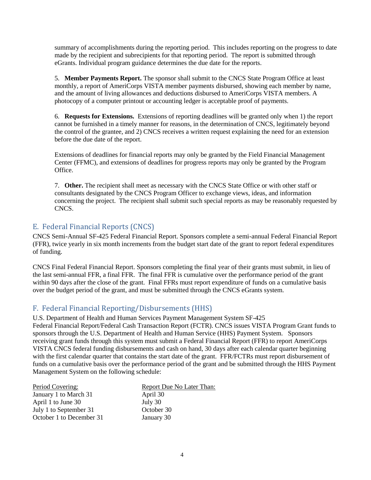summary of accomplishments during the reporting period. This includes reporting on the progress to date made by the recipient and subrecipients for that reporting period. The report is submitted through eGrants. Individual program guidance determines the due date for the reports.

5. **Member Payments Report.** The sponsor shall submit to the CNCS State Program Office at least monthly, a report of AmeriCorps VISTA member payments disbursed, showing each member by name, and the amount of living allowances and deductions disbursed to AmeriCorps VISTA members. A photocopy of a computer printout or accounting ledger is acceptable proof of payments.

6. **Requests for Extensions.** Extensions of reporting deadlines will be granted only when 1) the report cannot be furnished in a timely manner for reasons, in the determination of CNCS, legitimately beyond the control of the grantee, and 2) CNCS receives a written request explaining the need for an extension before the due date of the report.

Extensions of deadlines for financial reports may only be granted by the Field Financial Management Center (FFMC), and extensions of deadlines for progress reports may only be granted by the Program Office.

7. **Other.** The recipient shall meet as necessary with the CNCS State Office or with other staff or consultants designated by the CNCS Program Officer to exchange views, ideas, and information concerning the project. The recipient shall submit such special reports as may be reasonably requested by CNCS.

# <span id="page-3-0"></span>E. Federal Financial Reports (CNCS)

CNCS Semi-Annual SF-425 Federal Financial Report. Sponsors complete a semi-annual Federal Financial Report (FFR), twice yearly in six month increments from the budget start date of the grant to report federal expenditures of funding.

CNCS Final Federal Financial Report. Sponsors completing the final year of their grants must submit, in lieu of the last semi-annual FFR, a final FFR. The final FFR is cumulative over the performance period of the grant within 90 days after the close of the grant. Final FFRs must report expenditure of funds on a cumulative basis over the budget period of the grant, and must be submitted through the CNCS eGrants system.

# <span id="page-3-1"></span>F. Federal Financial Reporting/Disbursements (HHS)

#### U.S. Department of Health and Human Services Payment Management System SF-425

Federal Financial Report/Federal Cash Transaction Report (FCTR). CNCS issues VISTA Program Grant funds to sponsors through the U.S. Department of Health and Human Service (HHS) Payment System. Sponsors receiving grant funds through this system must submit a Federal Financial Report (FFR) to report AmeriCorps VISTA CNCS federal funding disbursements and cash on hand, 30 days after each calendar quarter beginning with the first calendar quarter that contains the start date of the grant. FFR/FCTRs must report disbursement of funds on a cumulative basis over the performance period of the grant and be submitted through the HHS Payment Management System on the following schedule:

| Period Covering:         | Report Due No Later Than: |
|--------------------------|---------------------------|
| January 1 to March 31    | April 30                  |
| April 1 to June 30       | July 30                   |
| July 1 to September 31   | October 30                |
| October 1 to December 31 | January 30                |